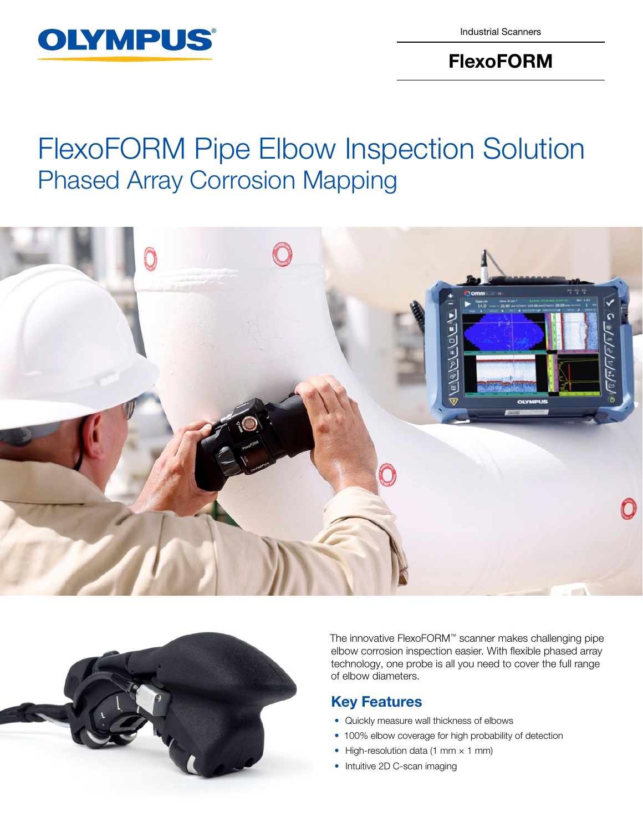

Industrial Scanners

## FlexoFORM

# FlexoFORM Pipe Elbow Inspection Solution Phased Array Corrosion Mapping





The innovative FlexoFORM™ scanner makes challenging pipe elbow corrosion inspection easier. With flexible phased array technology, one probe is all you need to cover the full range of elbow diameters.

### Key Features

- Quickly measure wall thickness of elbows
- 100% elbow coverage for high probability of detection
- High-resolution data (1 mm  $\times$  1 mm)
- Intuitive 2D C-scan imaging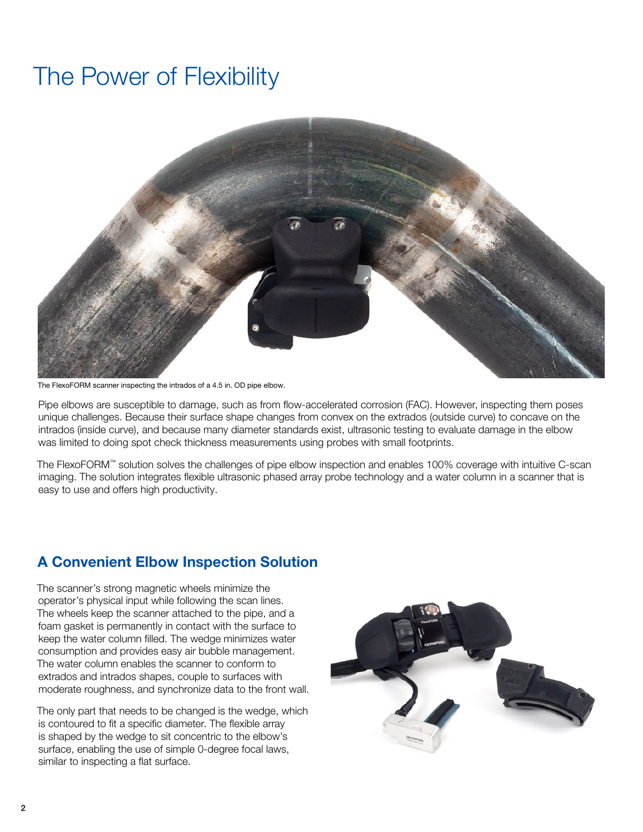## The Power of Flexibility



The FlexoFORM scanner inspecting the intrados of a 4.5 in. OD pipe elbow.

Pipe elbows are susceptible to damage, such as from flow-accelerated corrosion (FAC). However, inspecting them poses unique challenges. Because their surface shape changes from convex on the extrados (outside curve) to concave on the intrados (inside curve), and because many diameter standards exist, ultrasonic testing to evaluate damage in the elbow was limited to doing spot check thickness measurements using probes with small footprints.

The FlexoFORM™ solution solves the challenges of pipe elbow inspection and enables 100% coverage with intuitive C-scan imaging. The solution integrates flexible ultrasonic phased array probe technology and a water column in a scanner that is easy to use and offers high productivity.

### A Convenient Elbow Inspection Solution

The scanner's strong magnetic wheels minimize the operator's physical input while following the scan lines. The wheels keep the scanner attached to the pipe, and a foam gasket is permanently in contact with the surface to keep the water column filled. The wedge minimizes water consumption and provides easy air bubble management. The water column enables the scanner to conform to extrados and intrados shapes, couple to surfaces with moderate roughness, and synchronize data to the front wall.

The only part that needs to be changed is the wedge, which is contoured to fit a specific diameter. The flexible array is shaped by the wedge to sit concentric to the elbow's surface, enabling the use of simple 0-degree focal laws, similar to inspecting a flat surface.

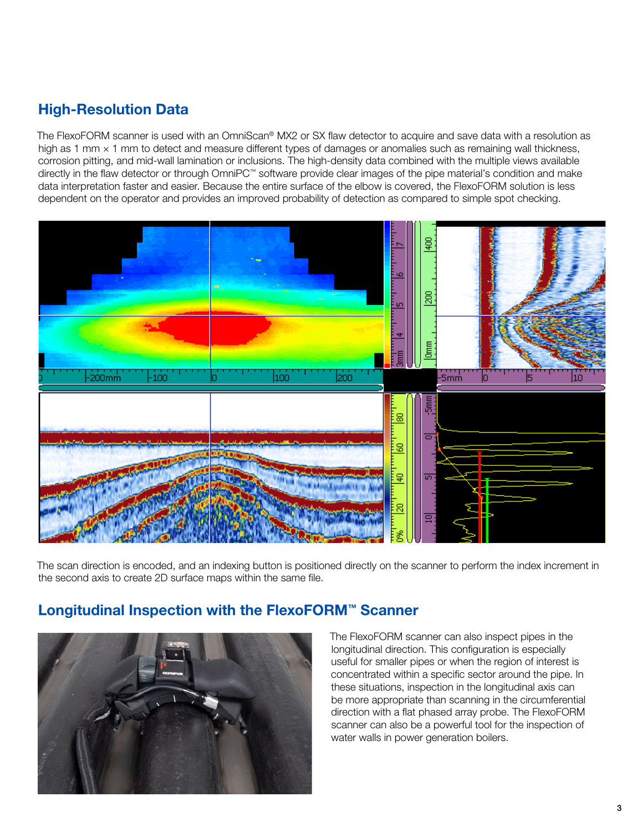## High-Resolution Data

The FlexoFORM scanner is used with an OmniScan® MX2 or SX flaw detector to acquire and save data with a resolution as high as 1 mm × 1 mm to detect and measure different types of damages or anomalies such as remaining wall thickness, corrosion pitting, and mid-wall lamination or inclusions. The high-density data combined with the multiple views available directly in the flaw detector or through OmniPC™ software provide clear images of the pipe material's condition and make data interpretation faster and easier. Because the entire surface of the elbow is covered, the FlexoFORM solution is less dependent on the operator and provides an improved probability of detection as compared to simple spot checking.



The scan direction is encoded, and an indexing button is positioned directly on the scanner to perform the index increment in the second axis to create 2D surface maps within the same file.

### Longitudinal Inspection with the FlexoFORM™ Scanner



The FlexoFORM scanner can also inspect pipes in the longitudinal direction. This configuration is especially useful for smaller pipes or when the region of interest is concentrated within a specific sector around the pipe. In these situations, inspection in the longitudinal axis can be more appropriate than scanning in the circumferential direction with a flat phased array probe. The FlexoFORM scanner can also be a powerful tool for the inspection of water walls in power generation boilers.